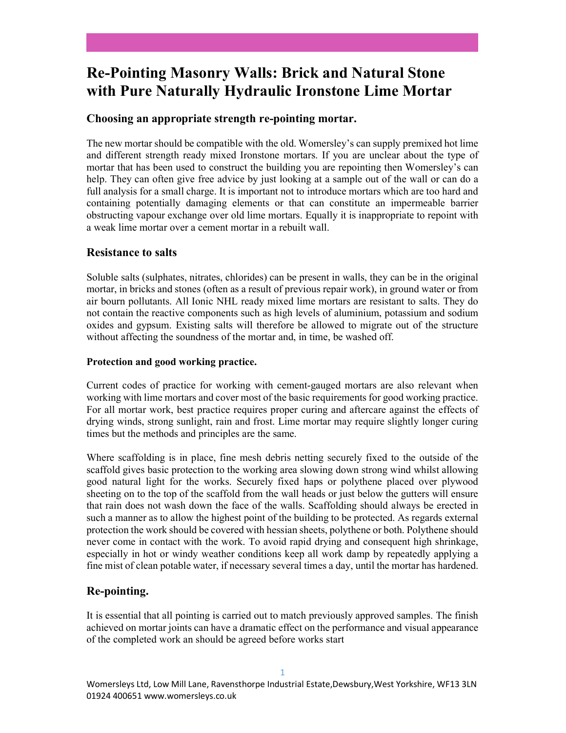# Re-Pointing Masonry Walls: Brick and Natural Stone with Pure Naturally Hydraulic Ironstone Lime Mortar

#### Choosing an appropriate strength re-pointing mortar.

The new mortar should be compatible with the old. Womersley's can supply premixed hot lime and different strength ready mixed Ironstone mortars. If you are unclear about the type of mortar that has been used to construct the building you are repointing then Womersley's can help. They can often give free advice by just looking at a sample out of the wall or can do a full analysis for a small charge. It is important not to introduce mortars which are too hard and containing potentially damaging elements or that can constitute an impermeable barrier obstructing vapour exchange over old lime mortars. Equally it is inappropriate to repoint with a weak lime mortar over a cement mortar in a rebuilt wall.

#### Resistance to salts

Soluble salts (sulphates, nitrates, chlorides) can be present in walls, they can be in the original mortar, in bricks and stones (often as a result of previous repair work), in ground water or from air bourn pollutants. All Ionic NHL ready mixed lime mortars are resistant to salts. They do not contain the reactive components such as high levels of aluminium, potassium and sodium oxides and gypsum. Existing salts will therefore be allowed to migrate out of the structure without affecting the soundness of the mortar and, in time, be washed off.

#### Protection and good working practice.

Current codes of practice for working with cement-gauged mortars are also relevant when working with lime mortars and cover most of the basic requirements for good working practice. For all mortar work, best practice requires proper curing and aftercare against the effects of drying winds, strong sunlight, rain and frost. Lime mortar may require slightly longer curing times but the methods and principles are the same.

Where scaffolding is in place, fine mesh debris netting securely fixed to the outside of the scaffold gives basic protection to the working area slowing down strong wind whilst allowing good natural light for the works. Securely fixed haps or polythene placed over plywood sheeting on to the top of the scaffold from the wall heads or just below the gutters will ensure that rain does not wash down the face of the walls. Scaffolding should always be erected in such a manner as to allow the highest point of the building to be protected. As regards external protection the work should be covered with hessian sheets, polythene or both. Polythene should never come in contact with the work. To avoid rapid drying and consequent high shrinkage, especially in hot or windy weather conditions keep all work damp by repeatedly applying a fine mist of clean potable water, if necessary several times a day, until the mortar has hardened.

## Re-pointing.

It is essential that all pointing is carried out to match previously approved samples. The finish achieved on mortar joints can have a dramatic effect on the performance and visual appearance of the completed work an should be agreed before works start